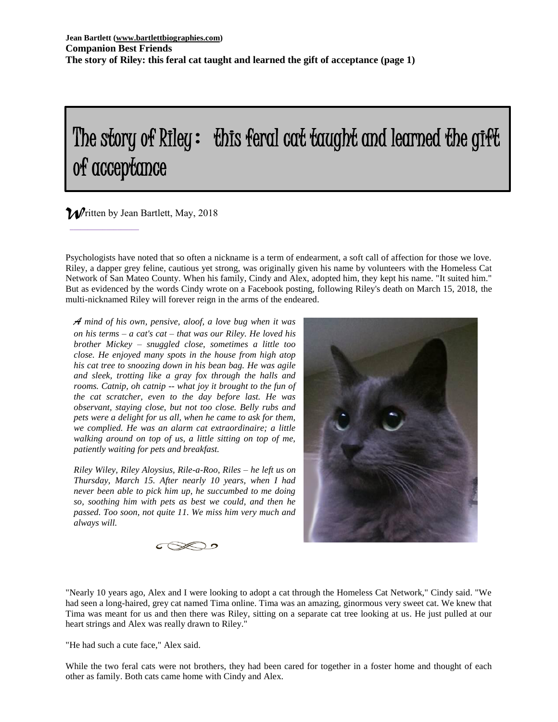# The story of Riley: this feral cat taught and learned the gift of acceptance

# *W*ritten by Jean Bartlett, May, 2018 I

 $\_$ 

Psychologists have noted that so often a nickname is a term of endearment, a soft call of affection for those we love. Riley, a dapper grey feline, cautious yet strong, was originally given his name by volunteers with the Homeless Cat Network of San Mateo County. When his family, Cindy and Alex, adopted him, they kept his name. "It suited him." But as evidenced by the words Cindy wrote on a Facebook posting, following Riley's death on March 15, 2018, the multi-nicknamed Riley will forever reign in the arms of the endeared.

*A mind of his own, pensive, aloof, a love bug when it was on his terms – a cat's cat – that was our Riley. He loved his brother Mickey – snuggled close, sometimes a little too close. He enjoyed many spots in the house from high atop his cat tree to snoozing down in his bean bag. He was agile and sleek, trotting like a gray fox through the halls and rooms. Catnip, oh catnip -- what joy it brought to the fun of the cat scratcher, even to the day before last. He was observant, staying close, but not too close. Belly rubs and pets were a delight for us all, when he came to ask for them, we complied. He was an alarm cat extraordinaire; a little walking around on top of us, a little sitting on top of me, patiently waiting for pets and breakfast.*

*Riley Wiley, Riley Aloysius, Rile-a-Roo, Riles – he left us on Thursday, March 15. After nearly 10 years, when I had never been able to pick him up, he succumbed to me doing so, soothing him with pets as best we could, and then he passed. Too soon, not quite 11. We miss him very much and always will.*





"Nearly 10 years ago, Alex and I were looking to adopt a cat through the Homeless Cat Network," Cindy said. "We had seen a long-haired, grey cat named Tima online. Tima was an amazing, ginormous very sweet cat. We knew that Tima was meant for us and then there was Riley, sitting on a separate cat tree looking at us. He just pulled at our heart strings and Alex was really drawn to Riley."

"He had such a cute face," Alex said.

While the two feral cats were not brothers, they had been cared for together in a foster home and thought of each other as family. Both cats came home with Cindy and Alex.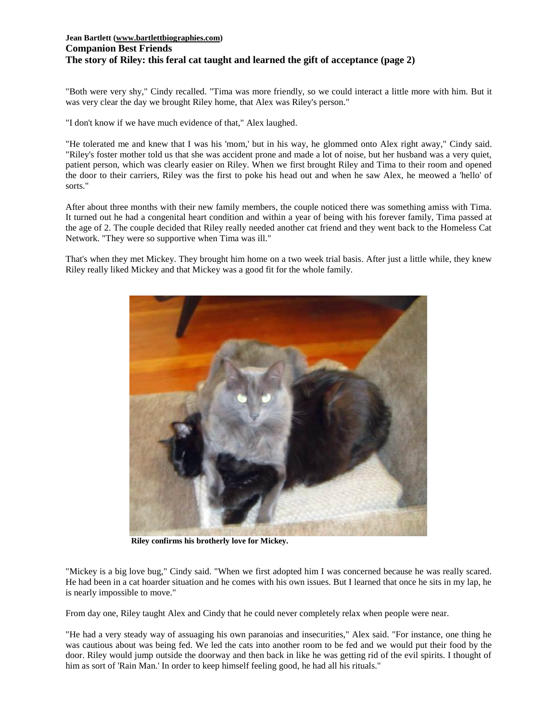## **Jean Bartlett [\(www.bartlettbiographies.com\)](http://www.bartlettbiographies.com/) Companion Best Friends The story of Riley: this feral cat taught and learned the gift of acceptance (page 2)**

"Both were very shy," Cindy recalled. "Tima was more friendly, so we could interact a little more with him. But it was very clear the day we brought Riley home, that Alex was Riley's person."

"I don't know if we have much evidence of that," Alex laughed.

"He tolerated me and knew that I was his 'mom,' but in his way, he glommed onto Alex right away," Cindy said. "Riley's foster mother told us that she was accident prone and made a lot of noise, but her husband was a very quiet, patient person, which was clearly easier on Riley. When we first brought Riley and Tima to their room and opened the door to their carriers, Riley was the first to poke his head out and when he saw Alex, he meowed a 'hello' of sorts."

After about three months with their new family members, the couple noticed there was something amiss with Tima. It turned out he had a congenital heart condition and within a year of being with his forever family, Tima passed at the age of 2. The couple decided that Riley really needed another cat friend and they went back to the Homeless Cat Network. "They were so supportive when Tima was ill."

That's when they met Mickey. They brought him home on a two week trial basis. After just a little while, they knew Riley really liked Mickey and that Mickey was a good fit for the whole family.



**Riley confirms his brotherly love for Mickey.**

"Mickey is a big love bug," Cindy said. "When we first adopted him I was concerned because he was really scared. He had been in a cat hoarder situation and he comes with his own issues. But I learned that once he sits in my lap, he is nearly impossible to move."

From day one, Riley taught Alex and Cindy that he could never completely relax when people were near.

"He had a very steady way of assuaging his own paranoias and insecurities," Alex said. "For instance, one thing he was cautious about was being fed. We led the cats into another room to be fed and we would put their food by the door. Riley would jump outside the doorway and then back in like he was getting rid of the evil spirits. I thought of him as sort of 'Rain Man.' In order to keep himself feeling good, he had all his rituals."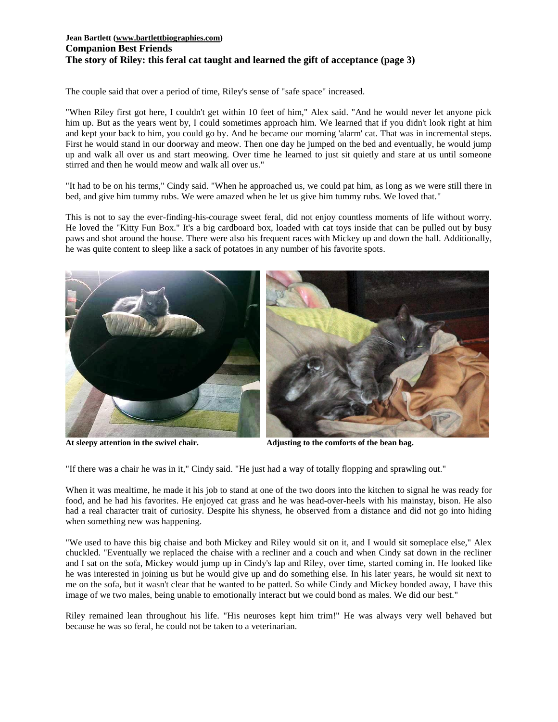## **Jean Bartlett [\(www.bartlettbiographies.com\)](http://www.bartlettbiographies.com/) Companion Best Friends The story of Riley: this feral cat taught and learned the gift of acceptance (page 3)**

The couple said that over a period of time, Riley's sense of "safe space" increased.

"When Riley first got here, I couldn't get within 10 feet of him," Alex said. "And he would never let anyone pick him up. But as the years went by, I could sometimes approach him. We learned that if you didn't look right at him and kept your back to him, you could go by. And he became our morning 'alarm' cat. That was in incremental steps. First he would stand in our doorway and meow. Then one day he jumped on the bed and eventually, he would jump up and walk all over us and start meowing. Over time he learned to just sit quietly and stare at us until someone stirred and then he would meow and walk all over us."

"It had to be on his terms," Cindy said. "When he approached us, we could pat him, as long as we were still there in bed, and give him tummy rubs. We were amazed when he let us give him tummy rubs. We loved that."

This is not to say the ever-finding-his-courage sweet feral, did not enjoy countless moments of life without worry. He loved the "Kitty Fun Box." It's a big cardboard box, loaded with cat toys inside that can be pulled out by busy paws and shot around the house. There were also his frequent races with Mickey up and down the hall. Additionally, he was quite content to sleep like a sack of potatoes in any number of his favorite spots.





**At sleepy attention in the swivel chair. Adjusting to the comforts of the bean bag.**

"If there was a chair he was in it," Cindy said. "He just had a way of totally flopping and sprawling out."

When it was mealtime, he made it his job to stand at one of the two doors into the kitchen to signal he was ready for food, and he had his favorites. He enjoyed cat grass and he was head-over-heels with his mainstay, bison. He also had a real character trait of curiosity. Despite his shyness, he observed from a distance and did not go into hiding when something new was happening.

"We used to have this big chaise and both Mickey and Riley would sit on it, and I would sit someplace else," Alex chuckled. "Eventually we replaced the chaise with a recliner and a couch and when Cindy sat down in the recliner and I sat on the sofa, Mickey would jump up in Cindy's lap and Riley, over time, started coming in. He looked like he was interested in joining us but he would give up and do something else. In his later years, he would sit next to me on the sofa, but it wasn't clear that he wanted to be patted. So while Cindy and Mickey bonded away, I have this image of we two males, being unable to emotionally interact but we could bond as males. We did our best."

Riley remained lean throughout his life. "His neuroses kept him trim!" He was always very well behaved but because he was so feral, he could not be taken to a veterinarian.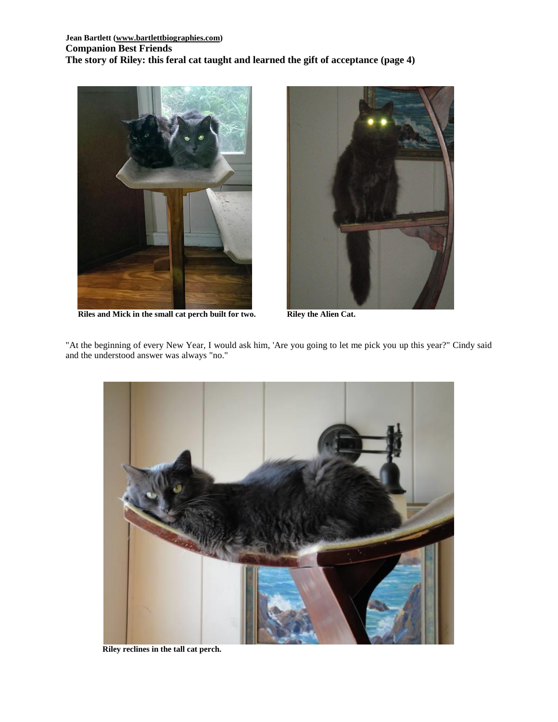

**Riles and Mick in the small cat perch built for two. Riley the Alien Cat.**



"At the beginning of every New Year, I would ask him, 'Are you going to let me pick you up this year?" Cindy said and the understood answer was always "no."



**Riley reclines in the tall cat perch.**